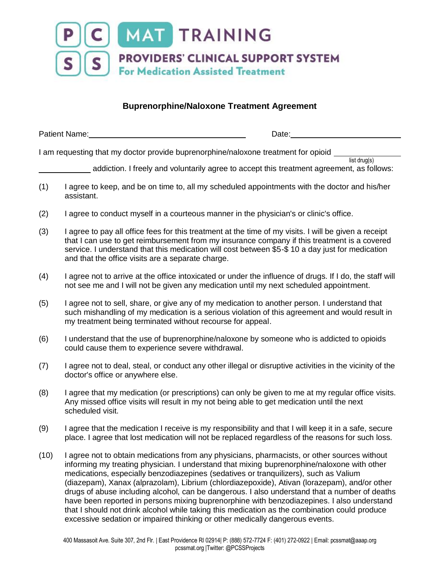

## **Buprenorphine/Naloxone Treatment Agreement**

| <b>Patient Name:</b> |  | Jate: |  |
|----------------------|--|-------|--|
|----------------------|--|-------|--|

I am requesting that my doctor provide buprenorphine/naloxone treatment for opioid

addiction. I freely and voluntarily agree to accept this treatment agreement, as follows:

list drug(s)

- (1) I agree to keep, and be on time to, all my scheduled appointments with the doctor and his/her assistant.
- (2) I agree to conduct myself in a courteous manner in the physician's or clinic's office.
- (3) I agree to pay all office fees for this treatment at the time of my visits. I will be given a receipt that I can use to get reimbursement from my insurance company if this treatment is a covered service. I understand that this medication will cost between \$5-\$ 10 a day just for medication and that the office visits are a separate charge.
- (4) I agree not to arrive at the office intoxicated or under the influence of drugs. If I do, the staff will not see me and I will not be given any medication until my next scheduled appointment.
- (5) I agree not to sell, share, or give any of my medication to another person. I understand that such mishandling of my medication is a serious violation of this agreement and would result in my treatment being terminated without recourse for appeal.
- (6) I understand that the use of buprenorphine/naloxone by someone who is addicted to opioids could cause them to experience severe withdrawal.
- (7) I agree not to deal, steal, or conduct any other illegal or disruptive activities in the vicinity of the doctor's office or anywhere else.
- (8) I agree that my medication (or prescriptions) can only be given to me at my regular office visits. Any missed office visits will result in my not being able to get medication until the next scheduled visit.
- (9) I agree that the medication I receive is my responsibility and that I will keep it in a safe, secure place. I agree that lost medication will not be replaced regardless of the reasons for such loss.
- (10) I agree not to obtain medications from any physicians, pharmacists, or other sources without informing my treating physician. I understand that mixing buprenorphine/naloxone with other medications, especially benzodiazepines (sedatives or tranquilizers), such as Valium (diazepam), Xanax (alprazolam), Librium (chlordiazepoxide), Ativan (lorazepam), and/or other drugs of abuse including alcohol, can be dangerous. I also understand that a number of deaths have been reported in persons mixing buprenorphine with benzodiazepines. I also understand that I should not drink alcohol while taking this medication as the combination could produce excessive sedation or impaired thinking or other medically dangerous events.